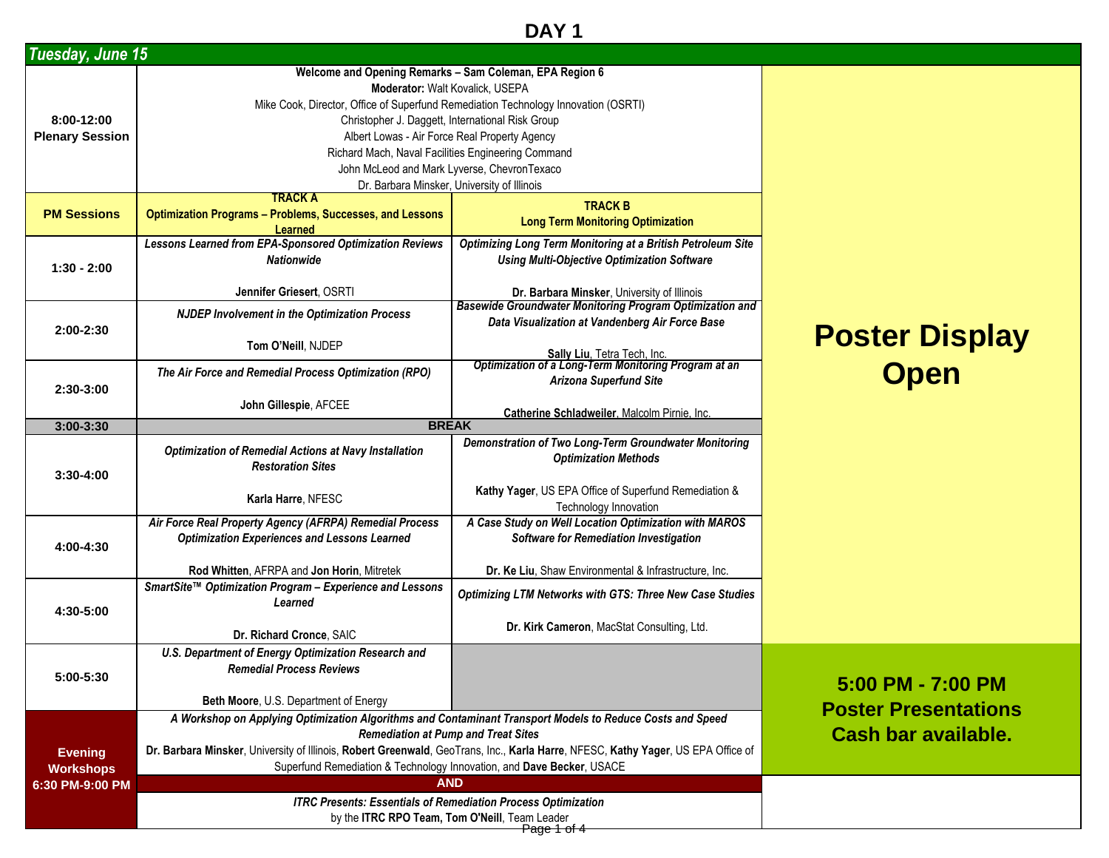## **DAY 1**

| Tuesday, June 15       |                                                                                                                                  |                                                                                            |                             |
|------------------------|----------------------------------------------------------------------------------------------------------------------------------|--------------------------------------------------------------------------------------------|-----------------------------|
|                        | Welcome and Opening Remarks - Sam Coleman, EPA Region 6                                                                          |                                                                                            |                             |
|                        | Moderator: Walt Kovalick, USEPA                                                                                                  |                                                                                            |                             |
|                        | Mike Cook, Director, Office of Superfund Remediation Technology Innovation (OSRTI)                                               |                                                                                            |                             |
| 8:00-12:00             | Christopher J. Daggett, International Risk Group                                                                                 |                                                                                            |                             |
| <b>Plenary Session</b> | Albert Lowas - Air Force Real Property Agency                                                                                    |                                                                                            |                             |
|                        | Richard Mach, Naval Facilities Engineering Command                                                                               |                                                                                            |                             |
|                        | John McLeod and Mark Lyverse, ChevronTexaco                                                                                      |                                                                                            |                             |
|                        | Dr. Barbara Minsker, University of Illinois<br><b>TRACK A</b>                                                                    |                                                                                            |                             |
| <b>PM Sessions</b>     | <b>Optimization Programs - Problems, Successes, and Lessons</b>                                                                  | <b>TRACK B</b>                                                                             |                             |
|                        | <b>Learned</b>                                                                                                                   | <b>Long Term Monitoring Optimization</b>                                                   |                             |
|                        | <b>Lessons Learned from EPA-Sponsored Optimization Reviews</b>                                                                   | <b>Optimizing Long Term Monitoring at a British Petroleum Site</b>                         |                             |
|                        | <b>Nationwide</b>                                                                                                                | <b>Using Multi-Objective Optimization Software</b>                                         |                             |
| $1:30 - 2:00$          |                                                                                                                                  |                                                                                            |                             |
|                        | Jennifer Griesert, OSRTI                                                                                                         | Dr. Barbara Minsker, University of Illinois                                                |                             |
|                        | <b>NJDEP Involvement in the Optimization Process</b>                                                                             | <b>Basewide Groundwater Monitoring Program Optimization and</b>                            |                             |
| 2:00-2:30              |                                                                                                                                  | Data Visualization at Vandenberg Air Force Base                                            |                             |
|                        | Tom O'Neill, NJDEP                                                                                                               |                                                                                            | <b>Poster Display</b>       |
|                        |                                                                                                                                  | Sally Liu, Tetra Tech, Inc.<br><b>Optimization of a Long-Term Monitoring Program at an</b> |                             |
|                        | The Air Force and Remedial Process Optimization (RPO)                                                                            | <b>Arizona Superfund Site</b>                                                              | <b>Open</b>                 |
| 2:30-3:00              |                                                                                                                                  |                                                                                            |                             |
|                        | John Gillespie, AFCEE                                                                                                            | Catherine Schladweiler, Malcolm Pirnie, Inc.                                               |                             |
| $3:00-3:30$            | <b>BREAK</b>                                                                                                                     |                                                                                            |                             |
|                        | <b>Optimization of Remedial Actions at Navy Installation</b>                                                                     | Demonstration of Two Long-Term Groundwater Monitoring                                      |                             |
|                        | <b>Restoration Sites</b>                                                                                                         | <b>Optimization Methods</b>                                                                |                             |
| $3:30 - 4:00$          |                                                                                                                                  |                                                                                            |                             |
|                        | Karla Harre, NFESC                                                                                                               | Kathy Yager, US EPA Office of Superfund Remediation &                                      |                             |
|                        | Air Force Real Property Agency (AFRPA) Remedial Process                                                                          | Technology Innovation<br>A Case Study on Well Location Optimization with MAROS             |                             |
|                        | <b>Optimization Experiences and Lessons Learned</b>                                                                              | <b>Software for Remediation Investigation</b>                                              |                             |
| 4:00-4:30              |                                                                                                                                  |                                                                                            |                             |
|                        | Rod Whitten, AFRPA and Jon Horin, Mitretek                                                                                       | Dr. Ke Liu, Shaw Environmental & Infrastructure, Inc.                                      |                             |
|                        | SmartSite™ Optimization Program - Experience and Lessons                                                                         |                                                                                            |                             |
|                        | Learned                                                                                                                          | <b>Optimizing LTM Networks with GTS: Three New Case Studies</b>                            |                             |
| 4:30-5:00              |                                                                                                                                  |                                                                                            |                             |
|                        | Dr. Richard Cronce, SAIC                                                                                                         | Dr. Kirk Cameron, MacStat Consulting, Ltd.                                                 |                             |
|                        | U.S. Department of Energy Optimization Research and                                                                              |                                                                                            |                             |
|                        | <b>Remedial Process Reviews</b>                                                                                                  |                                                                                            |                             |
| 5:00-5:30              |                                                                                                                                  |                                                                                            | 5:00 PM - 7:00 PM           |
|                        | Beth Moore, U.S. Department of Energy                                                                                            |                                                                                            | <b>Poster Presentations</b> |
|                        | A Workshop on Applying Optimization Algorithms and Contaminant Transport Models to Reduce Costs and Speed                        |                                                                                            |                             |
|                        | <b>Remediation at Pump and Treat Sites</b>                                                                                       |                                                                                            | Cash bar available.         |
| <b>Evening</b>         | Dr. Barbara Minsker, University of Illinois, Robert Greenwald, GeoTrans, Inc., Karla Harre, NFESC, Kathy Yager, US EPA Office of |                                                                                            |                             |
| <b>Workshops</b>       | Superfund Remediation & Technology Innovation, and Dave Becker, USACE                                                            |                                                                                            |                             |
| 6:30 PM-9:00 PM        | <b>AND</b>                                                                                                                       |                                                                                            |                             |
|                        | <b>ITRC Presents: Essentials of Remediation Process Optimization</b>                                                             |                                                                                            |                             |
|                        | by the ITRC RPO Team, Tom O'Neill, Team Leader                                                                                   |                                                                                            |                             |
|                        |                                                                                                                                  | <del>Page 1 of 4</del>                                                                     |                             |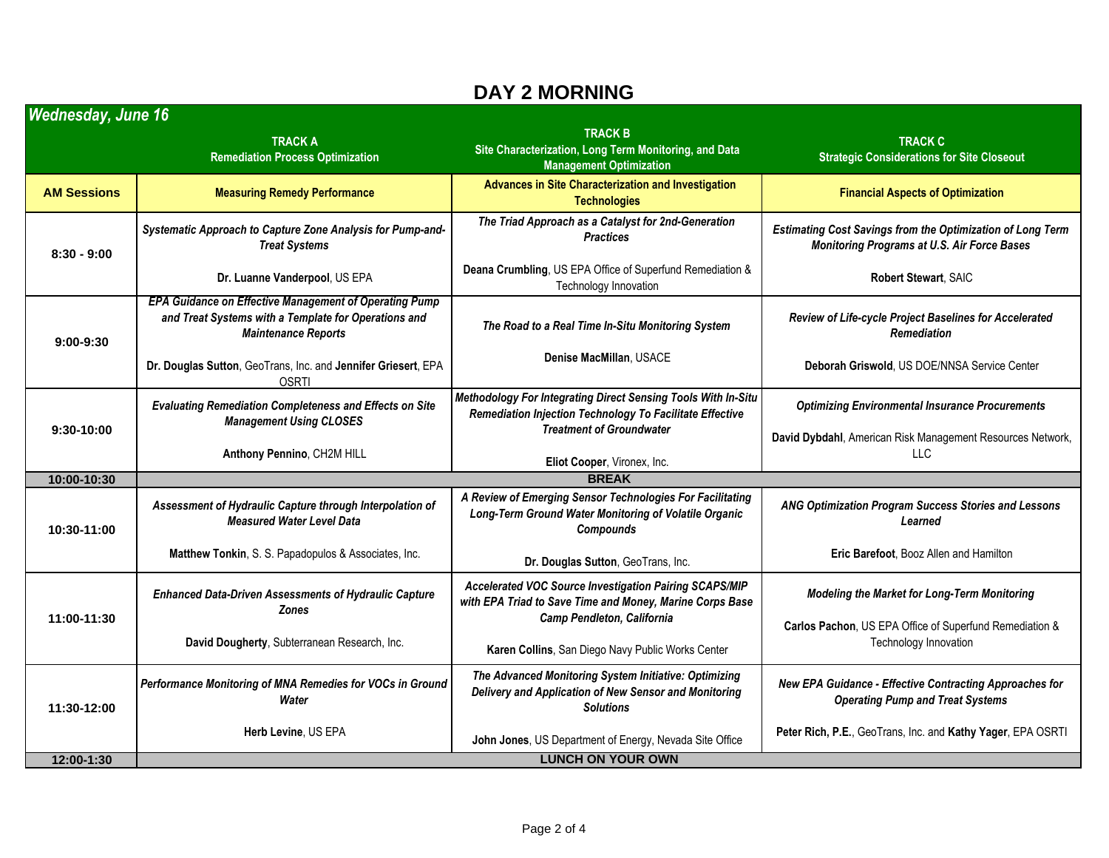## **DAY 2 MORNING**

| Wednesday, June 16 |                                                                                                                                                     |                                                                                                                                        |                                                                                                                  |  |
|--------------------|-----------------------------------------------------------------------------------------------------------------------------------------------------|----------------------------------------------------------------------------------------------------------------------------------------|------------------------------------------------------------------------------------------------------------------|--|
|                    | <b>TRACK A</b><br><b>Remediation Process Optimization</b>                                                                                           | <b>TRACK B</b><br>Site Characterization, Long Term Monitoring, and Data<br><b>Management Optimization</b>                              | <b>TRACK C</b><br><b>Strategic Considerations for Site Closeout</b>                                              |  |
| <b>AM Sessions</b> | <b>Measuring Remedy Performance</b>                                                                                                                 | Advances in Site Characterization and Investigation<br><b>Technologies</b>                                                             | <b>Financial Aspects of Optimization</b>                                                                         |  |
| $8:30 - 9:00$      | Systematic Approach to Capture Zone Analysis for Pump-and-<br><b>Treat Systems</b>                                                                  | The Triad Approach as a Catalyst for 2nd-Generation<br><b>Practices</b>                                                                | <b>Estimating Cost Savings from the Optimization of Long Term</b><br>Monitoring Programs at U.S. Air Force Bases |  |
|                    | Dr. Luanne Vanderpool, US EPA                                                                                                                       | Deana Crumbling, US EPA Office of Superfund Remediation &<br>Technology Innovation                                                     | Robert Stewart, SAIC                                                                                             |  |
| $9:00-9:30$        | <b>EPA Guidance on Effective Management of Operating Pump</b><br>and Treat Systems with a Template for Operations and<br><b>Maintenance Reports</b> | The Road to a Real Time In-Situ Monitoring System                                                                                      | Review of Life-cycle Project Baselines for Accelerated<br><b>Remediation</b>                                     |  |
|                    | Dr. Douglas Sutton, GeoTrans, Inc. and Jennifer Griesert, EPA<br><b>OSRTI</b>                                                                       | Denise MacMillan, USACE                                                                                                                | Deborah Griswold, US DOE/NNSA Service Center                                                                     |  |
| 9:30-10:00         | <b>Evaluating Remediation Completeness and Effects on Site</b><br><b>Management Using CLOSES</b>                                                    | Methodology For Integrating Direct Sensing Tools With In-Situ<br>Remediation Injection Technology To Facilitate Effective              | <b>Optimizing Environmental Insurance Procurements</b>                                                           |  |
|                    | Anthony Pennino, CH2M HILL                                                                                                                          | <b>Treatment of Groundwater</b><br>Eliot Cooper, Vironex, Inc.                                                                         | David Dybdahl, American Risk Management Resources Network,<br><b>LLC</b>                                         |  |
| 10:00-10:30        |                                                                                                                                                     | <b>BREAK</b>                                                                                                                           |                                                                                                                  |  |
| 10:30-11:00        | Assessment of Hydraulic Capture through Interpolation of<br><b>Measured Water Level Data</b>                                                        | A Review of Emerging Sensor Technologies For Facilitating<br>Long-Term Ground Water Monitoring of Volatile Organic<br><b>Compounds</b> | ANG Optimization Program Success Stories and Lessons<br>Learned                                                  |  |
|                    | Matthew Tonkin, S. S. Papadopulos & Associates, Inc.                                                                                                | Dr. Douglas Sutton, GeoTrans, Inc.                                                                                                     | Eric Barefoot, Booz Allen and Hamilton                                                                           |  |
| 11:00-11:30        | <b>Enhanced Data-Driven Assessments of Hydraulic Capture</b><br><b>Zones</b>                                                                        | Accelerated VOC Source Investigation Pairing SCAPS/MIP<br>with EPA Triad to Save Time and Money, Marine Corps Base                     | Modeling the Market for Long-Term Monitoring                                                                     |  |
|                    | David Dougherty, Subterranean Research, Inc.                                                                                                        | Camp Pendleton, California<br>Karen Collins, San Diego Navy Public Works Center                                                        | Carlos Pachon, US EPA Office of Superfund Remediation &<br>Technology Innovation                                 |  |
| 11:30-12:00        | Performance Monitoring of MNA Remedies for VOCs in Ground<br>Water                                                                                  | The Advanced Monitoring System Initiative: Optimizing<br>Delivery and Application of New Sensor and Monitoring<br><b>Solutions</b>     | New EPA Guidance - Effective Contracting Approaches for<br><b>Operating Pump and Treat Systems</b>               |  |
|                    | Herb Levine, US EPA                                                                                                                                 | John Jones, US Department of Energy, Nevada Site Office                                                                                | Peter Rich, P.E., GeoTrans, Inc. and Kathy Yager, EPA OSRTI                                                      |  |
| 12:00-1:30         |                                                                                                                                                     | <b>LUNCH ON YOUR OWN</b>                                                                                                               |                                                                                                                  |  |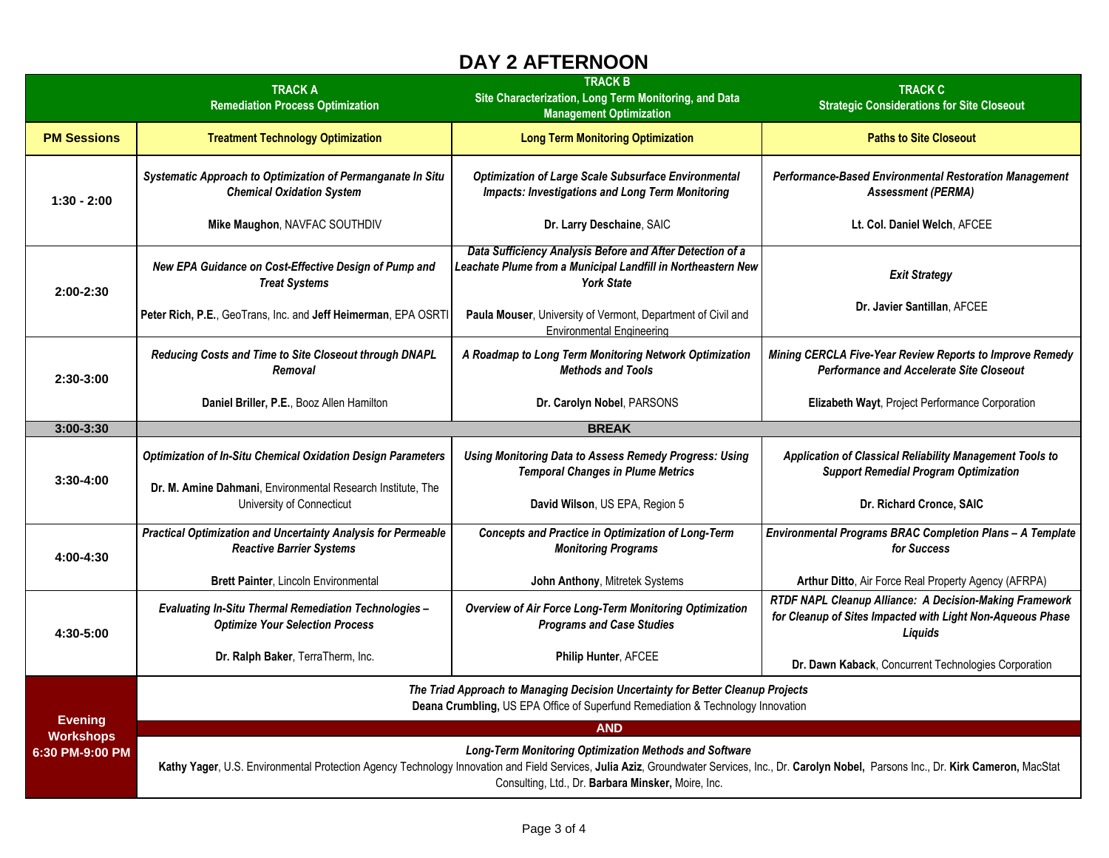## **DAY 2 AFTERNOON**

|                                                       | <b>TRACK A</b><br><b>Remediation Process Optimization</b>                                                                                                                                                                                                                                                      | <b>TRACK B</b><br>Site Characterization, Long Term Monitoring, and Data<br><b>Management Optimization</b>                                      | <b>TRACK C</b><br><b>Strategic Considerations for Site Closeout</b>                                                              |  |
|-------------------------------------------------------|----------------------------------------------------------------------------------------------------------------------------------------------------------------------------------------------------------------------------------------------------------------------------------------------------------------|------------------------------------------------------------------------------------------------------------------------------------------------|----------------------------------------------------------------------------------------------------------------------------------|--|
| <b>PM Sessions</b>                                    | <b>Treatment Technology Optimization</b>                                                                                                                                                                                                                                                                       | <b>Long Term Monitoring Optimization</b>                                                                                                       | <b>Paths to Site Closeout</b>                                                                                                    |  |
| $1:30 - 2:00$                                         | Systematic Approach to Optimization of Permanganate In Situ<br><b>Chemical Oxidation System</b>                                                                                                                                                                                                                | <b>Optimization of Large Scale Subsurface Environmental</b><br><b>Impacts: Investigations and Long Term Monitoring</b>                         | Performance-Based Environmental Restoration Management<br><b>Assessment (PERMA)</b>                                              |  |
|                                                       | Mike Maughon, NAVFAC SOUTHDIV                                                                                                                                                                                                                                                                                  | Dr. Larry Deschaine, SAIC                                                                                                                      | Lt. Col. Daniel Welch, AFCEE                                                                                                     |  |
| 2:00-2:30                                             | New EPA Guidance on Cost-Effective Design of Pump and<br><b>Treat Systems</b>                                                                                                                                                                                                                                  | Data Sufficiency Analysis Before and After Detection of a<br>Leachate Plume from a Municipal Landfill in Northeastern New<br><b>York State</b> | <b>Exit Strategy</b>                                                                                                             |  |
|                                                       | Peter Rich, P.E., GeoTrans, Inc. and Jeff Heimerman, EPA OSRTI                                                                                                                                                                                                                                                 | Paula Mouser, University of Vermont, Department of Civil and<br><b>Environmental Engineering</b>                                               | Dr. Javier Santillan, AFCEE                                                                                                      |  |
| 2:30-3:00                                             | Reducing Costs and Time to Site Closeout through DNAPL<br>Removal                                                                                                                                                                                                                                              | A Roadmap to Long Term Monitoring Network Optimization<br><b>Methods and Tools</b>                                                             | Mining CERCLA Five-Year Review Reports to Improve Remedy<br><b>Performance and Accelerate Site Closeout</b>                      |  |
|                                                       | Daniel Briller, P.E., Booz Allen Hamilton                                                                                                                                                                                                                                                                      | Dr. Carolyn Nobel, PARSONS                                                                                                                     | Elizabeth Wayt, Project Performance Corporation                                                                                  |  |
| $3:00 - 3:30$                                         |                                                                                                                                                                                                                                                                                                                | <b>BREAK</b>                                                                                                                                   |                                                                                                                                  |  |
| 3:30-4:00                                             | <b>Optimization of In-Situ Chemical Oxidation Design Parameters</b>                                                                                                                                                                                                                                            | <b>Using Monitoring Data to Assess Remedy Progress: Using</b><br><b>Temporal Changes in Plume Metrics</b>                                      | Application of Classical Reliability Management Tools to<br><b>Support Remedial Program Optimization</b>                         |  |
|                                                       | Dr. M. Amine Dahmani, Environmental Research Institute, The<br>University of Connecticut                                                                                                                                                                                                                       | David Wilson, US EPA, Region 5                                                                                                                 | Dr. Richard Cronce, SAIC                                                                                                         |  |
| 4:00-4:30                                             | Practical Optimization and Uncertainty Analysis for Permeable<br><b>Reactive Barrier Systems</b>                                                                                                                                                                                                               | <b>Concepts and Practice in Optimization of Long-Term</b><br><b>Monitoring Programs</b>                                                        | Environmental Programs BRAC Completion Plans - A Template<br>for Success                                                         |  |
|                                                       | Brett Painter, Lincoln Environmental                                                                                                                                                                                                                                                                           | John Anthony, Mitretek Systems                                                                                                                 | Arthur Ditto, Air Force Real Property Agency (AFRPA)                                                                             |  |
| 4:30-5:00                                             | <b>Evaluating In-Situ Thermal Remediation Technologies -</b><br><b>Optimize Your Selection Process</b>                                                                                                                                                                                                         | Overview of Air Force Long-Term Monitoring Optimization<br><b>Programs and Case Studies</b>                                                    | RTDF NAPL Cleanup Alliance: A Decision-Making Framework<br>for Cleanup of Sites Impacted with Light Non-Aqueous Phase<br>Liquids |  |
|                                                       | Dr. Ralph Baker, TerraTherm, Inc.                                                                                                                                                                                                                                                                              | Philip Hunter, AFCEE                                                                                                                           | Dr. Dawn Kaback, Concurrent Technologies Corporation                                                                             |  |
| <b>Evening</b><br><b>Workshops</b><br>6:30 PM-9:00 PM | The Triad Approach to Managing Decision Uncertainty for Better Cleanup Projects<br>Deana Crumbling, US EPA Office of Superfund Remediation & Technology Innovation                                                                                                                                             |                                                                                                                                                |                                                                                                                                  |  |
|                                                       | <b>AND</b>                                                                                                                                                                                                                                                                                                     |                                                                                                                                                |                                                                                                                                  |  |
|                                                       | Long-Term Monitoring Optimization Methods and Software<br>Kathy Yager, U.S. Environmental Protection Agency Technology Innovation and Field Services, Julia Aziz, Groundwater Services, Inc., Dr. Carolyn Nobel, Parsons Inc., Dr. Kirk Cameron, MacStat<br>Consulting, Ltd., Dr. Barbara Minsker, Moire, Inc. |                                                                                                                                                |                                                                                                                                  |  |